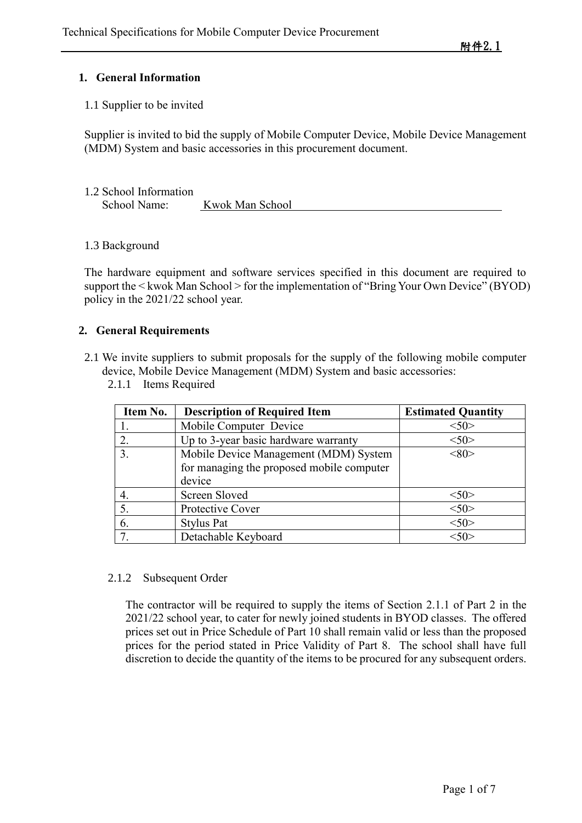# **1. General Information**

1.1 Supplier to be invited

Supplier is invited to bid the supply of Mobile Computer Device, Mobile Device Management (MDM) System and basic accessories in this procurement document.

| 1.2 School Information |                 |
|------------------------|-----------------|
| School Name:           | Kwok Man School |

1.3 Background

The hardware equipment and software services specified in this document are required to support the < kwok Man School > for the implementation of "Bring Your Own Device" (BYOD) policy in the 2021/22 school year.

# **2. General Requirements**

- 2.1 We invite suppliers to submit proposals for the supply of the following mobile computer device, Mobile Device Management (MDM) System and basic accessories:
	- 2.1.1 Items Required

| Item No. | <b>Description of Required Item</b>                                                          | <b>Estimated Quantity</b> |
|----------|----------------------------------------------------------------------------------------------|---------------------------|
|          | Mobile Computer Device                                                                       | $<$ 50>                   |
| 2.       | Up to 3-year basic hardware warranty                                                         | 50                        |
| 3.       | Mobile Device Management (MDM) System<br>for managing the proposed mobile computer<br>device | <80                       |
| 4.       | Screen Sloved                                                                                | 50                        |
| 5.       | Protective Cover                                                                             | $<$ 50>                   |
| 6.       | <b>Stylus Pat</b>                                                                            | $<$ 50>                   |
| 7.       | Detachable Keyboard                                                                          | $<$ 50>                   |

#### 2.1.2 Subsequent Order

The contractor will be required to supply the items of Section 2.1.1 of Part 2 in the 2021/22 school year, to cater for newly joined students in BYOD classes. The offered prices set out in Price Schedule of Part 10 shall remain valid or less than the proposed prices for the period stated in Price Validity of Part 8. The school shall have full discretion to decide the quantity of the items to be procured for any subsequent orders.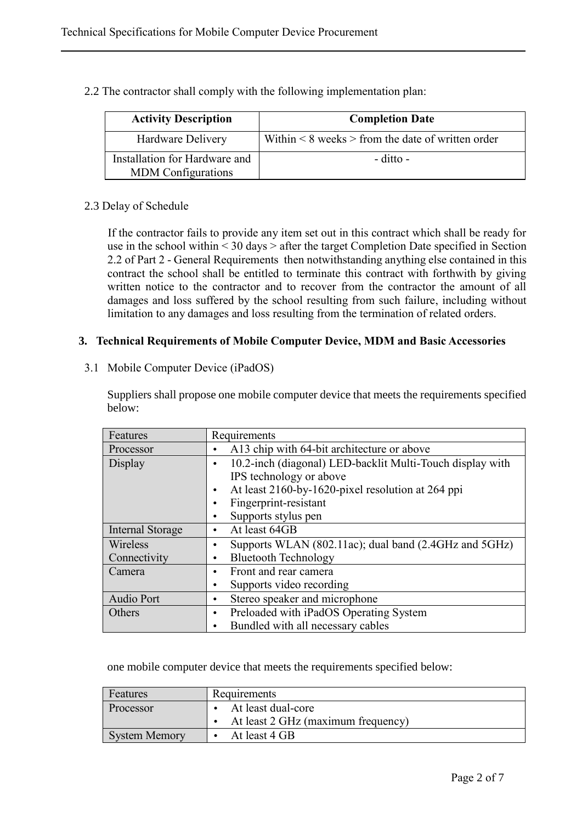2.2 The contractor shall comply with the following implementation plan:

| <b>Activity Description</b>                                | <b>Completion Date</b>                                   |
|------------------------------------------------------------|----------------------------------------------------------|
| Hardware Delivery                                          | Within $\leq 8$ weeks $>$ from the date of written order |
| Installation for Hardware and<br><b>MDM</b> Configurations | $-$ ditto $-$                                            |

# 2.3 Delay of Schedule

If the contractor fails to provide any item set out in this contract which shall be ready for use in the school within < 30 days > after the target Completion Date specified in Section 2.2 of Part 2 - General Requirements then notwithstanding anything else contained in this contract the school shall be entitled to terminate this contract with forthwith by giving written notice to the contractor and to recover from the contractor the amount of all damages and loss suffered by the school resulting from such failure, including without limitation to any damages and loss resulting from the termination of related orders.

# **3. Technical Requirements of Mobile Computer Device, MDM and Basic Accessories**

3.1 Mobile Computer Device (iPadOS)

Suppliers shall propose one mobile computer device that meets the requirements specified below:

| Features                | Requirements                                              |  |
|-------------------------|-----------------------------------------------------------|--|
| Processor               | A13 chip with 64-bit architecture or above                |  |
| Display                 | 10.2-inch (diagonal) LED-backlit Multi-Touch display with |  |
|                         | IPS technology or above                                   |  |
|                         | At least 2160-by-1620-pixel resolution at 264 ppi         |  |
|                         | Fingerprint-resistant                                     |  |
|                         | Supports stylus pen                                       |  |
| <b>Internal Storage</b> | At least 64GB                                             |  |
| Wireless                | Supports WLAN (802.11ac); dual band (2.4GHz and 5GHz)     |  |
| Connectivity            | <b>Bluetooth Technology</b>                               |  |
| Camera                  | Front and rear camera                                     |  |
|                         | Supports video recording                                  |  |
| <b>Audio Port</b>       | Stereo speaker and microphone                             |  |
| Others                  | Preloaded with iPadOS Operating System<br>٠               |  |
|                         | Bundled with all necessary cables                         |  |

one mobile computer device that meets the requirements specified below:

| Features             | Requirements                       |  |
|----------------------|------------------------------------|--|
| Processor            | At least dual-core                 |  |
|                      | At least 2 GHz (maximum frequency) |  |
| <b>System Memory</b> | At least 4 GB                      |  |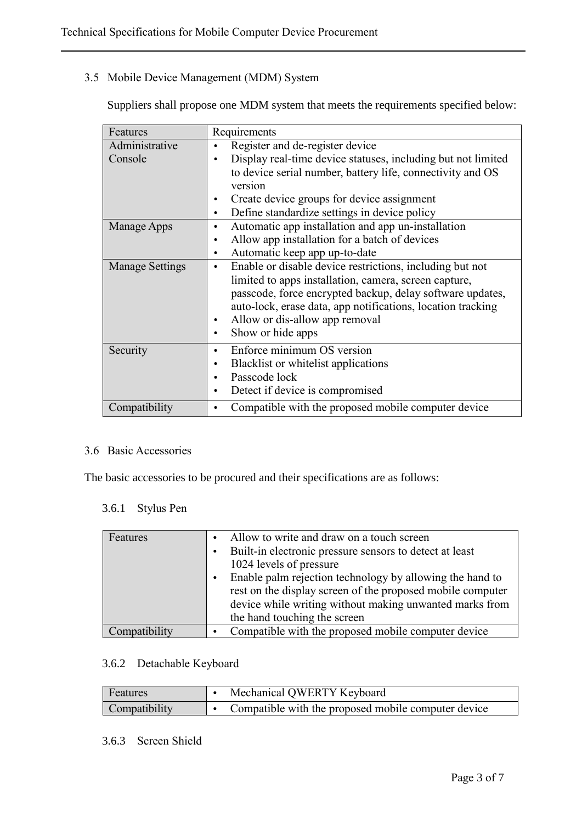# 3.5 Mobile Device Management (MDM) System

Suppliers shall propose one MDM system that meets the requirements specified below:

| Features               | Requirements                                                          |  |  |  |
|------------------------|-----------------------------------------------------------------------|--|--|--|
| Administrative         | Register and de-register device                                       |  |  |  |
| Console                | Display real-time device statuses, including but not limited          |  |  |  |
|                        | to device serial number, battery life, connectivity and OS            |  |  |  |
|                        | version                                                               |  |  |  |
|                        | Create device groups for device assignment                            |  |  |  |
|                        | Define standardize settings in device policy<br>$\bullet$             |  |  |  |
| Manage Apps            | Automatic app installation and app un-installation<br>٠               |  |  |  |
|                        | Allow app installation for a batch of devices<br>$\bullet$            |  |  |  |
|                        | Automatic keep app up-to-date<br>$\bullet$                            |  |  |  |
| <b>Manage Settings</b> | Enable or disable device restrictions, including but not<br>$\bullet$ |  |  |  |
|                        | limited to apps installation, camera, screen capture,                 |  |  |  |
|                        | passcode, force encrypted backup, delay software updates,             |  |  |  |
|                        | auto-lock, erase data, app notifications, location tracking           |  |  |  |
|                        | Allow or dis-allow app removal                                        |  |  |  |
|                        | Show or hide apps                                                     |  |  |  |
| Security               | Enforce minimum OS version                                            |  |  |  |
|                        | Blacklist or whitelist applications                                   |  |  |  |
|                        | Passcode lock                                                         |  |  |  |
|                        | Detect if device is compromised                                       |  |  |  |
| Compatibility          | Compatible with the proposed mobile computer device                   |  |  |  |

#### 3.6 Basic Accessories

The basic accessories to be procured and their specifications are as follows:

#### 3.6.1 Stylus Pen

| Features      | Allow to write and draw on a touch screen<br>Built-in electronic pressure sensors to detect at least<br>$\bullet$<br>1024 levels of pressure<br>Enable palm rejection technology by allowing the hand to<br>$\bullet$<br>rest on the display screen of the proposed mobile computer<br>device while writing without making unwanted marks from<br>the hand touching the screen |
|---------------|--------------------------------------------------------------------------------------------------------------------------------------------------------------------------------------------------------------------------------------------------------------------------------------------------------------------------------------------------------------------------------|
|               |                                                                                                                                                                                                                                                                                                                                                                                |
| Compatibility | Compatible with the proposed mobile computer device                                                                                                                                                                                                                                                                                                                            |

# 3.6.2 Detachable Keyboard

| <b>Features</b> | Mechanical QWERTY Keyboard                          |
|-----------------|-----------------------------------------------------|
| Compatibility   | Compatible with the proposed mobile computer device |

#### 3.6.3 Screen Shield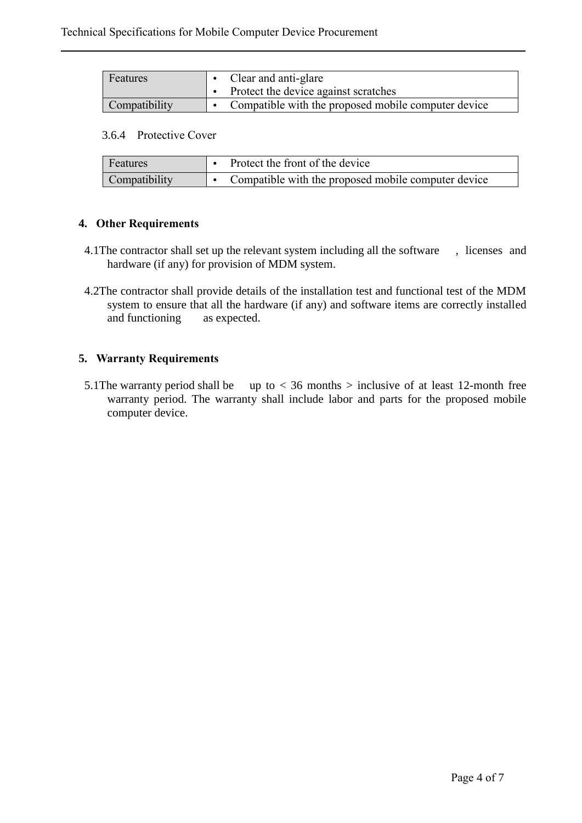| Features      | • Clear and anti-glare                              |  |
|---------------|-----------------------------------------------------|--|
|               | Protect the device against scratches                |  |
| Compatibility | Compatible with the proposed mobile computer device |  |

#### 3.6.4 Protective Cover

| <b>Features</b> | Protect the front of the device                     |
|-----------------|-----------------------------------------------------|
| Compatibility   | Compatible with the proposed mobile computer device |

# **4. Other Requirements**

- 4.1The contractor shall set up the relevant system including all the software , licenses and hardware (if any) for provision of MDM system.
- 4.2The contractor shall provide details of the installation test and functional test of the MDM system to ensure that all the hardware (if any) and software items are correctly installed and functioning as expected.

# **5. Warranty Requirements**

5.1 The warranty period shall be up to  $<$  36 months  $>$  inclusive of at least 12-month free warranty period. The warranty shall include labor and parts for the proposed mobile computer device.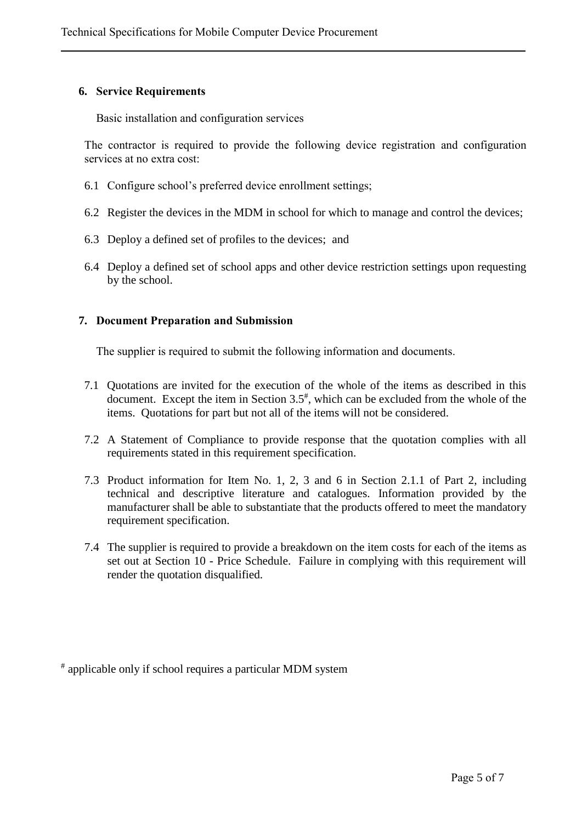#### **6. Service Requirements**

Basic installation and configuration services

The contractor is required to provide the following device registration and configuration services at no extra cost:

- 6.1 Configure school's preferred device enrollment settings;
- 6.2 Register the devices in the MDM in school for which to manage and control the devices;
- 6.3 Deploy a defined set of profiles to the devices; and
- 6.4 Deploy a defined set of school apps and other device restriction settings upon requesting by the school.

# **7. Document Preparation and Submission**

The supplier is required to submit the following information and documents.

- 7.1 Quotations are invited for the execution of the whole of the items as described in this document. Except the item in Section  $3.5<sup>*</sup>$ , which can be excluded from the whole of the items. Quotations for part but not all of the items will not be considered.
- 7.2 A Statement of Compliance to provide response that the quotation complies with all requirements stated in this requirement specification.
- 7.3 Product information for Item No. 1, 2, 3 and 6 in Section 2.1.1 of Part 2, including technical and descriptive literature and catalogues. Information provided by the manufacturer shall be able to substantiate that the products offered to meet the mandatory requirement specification.
- 7.4 The supplier is required to provide a breakdown on the item costs for each of the items as set out at Section 10 - Price Schedule. Failure in complying with this requirement will render the quotation disqualified.

# applicable only if school requires a particular MDM system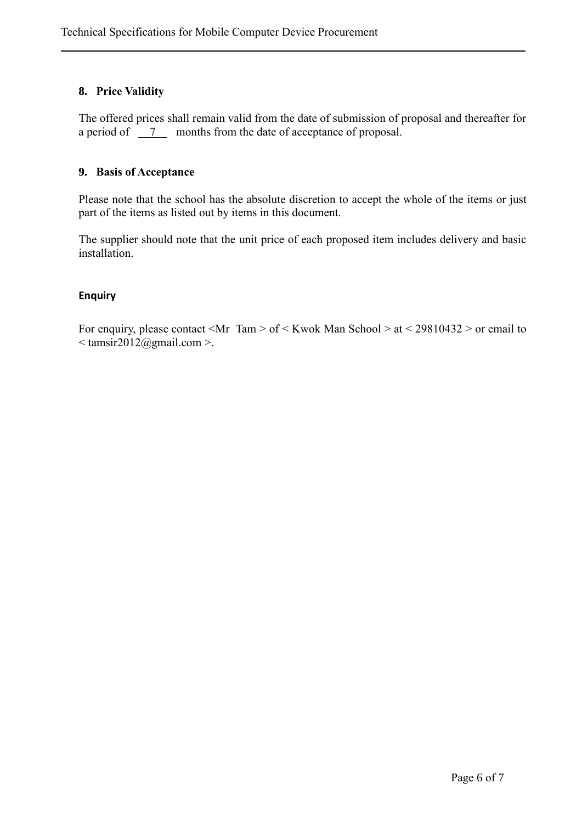# **8. Price Validity**

The offered prices shall remain valid from the date of submission of proposal and thereafter for a period of  $\frac{7}{2}$  months from the date of acceptance of proposal.

# **9. Basis of Acceptance**

Please note that the school has the absolute discretion to accept the whole of the items or just part of the items as listed out by items in this document.

The supplier should note that the unit price of each proposed item includes delivery and basic installation.

# **Enquiry**

For enquiry, please contact <Mr Tam > of < Kwok Man School > at < 29810432 > or email to  $\leq$  tamsir2012@gmail.com >.